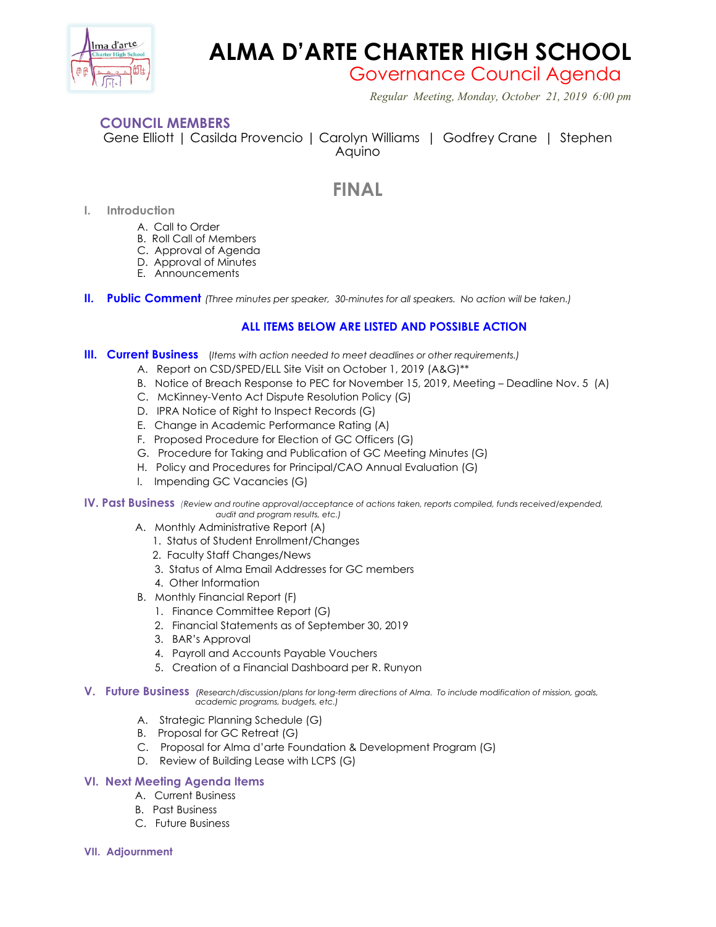

# **ALMA D'ARTE CHARTER HIGH SCHOOL**

Governance Council Agenda

 *Regular Meeting, Monday, October 21, 2019 6:00 pm*

### **COUNCIL MEMBERS**

Gene Elliott | Casilda Provencio | Carolyn Williams | Godfrey Crane | Stephen Aquino

## **FINAL**

- **I. Introduction**
	- A. Call to Order
	- B. Roll Call of Members
	- C. Approval of Agenda
	- D. Approval of Minutes
	- E. Announcements
- **II. Public Comment** *(Three minutes per speaker, 30-minutes for all speakers. No action will be taken.)*

### **ALL ITEMS BELOW ARE LISTED AND POSSIBLE ACTION**

- **III. Current Business** (*Items with action needed to meet deadlines or other requirements.)*
	- A. Report on CSD/SPED/ELL Site Visit on October 1, 2019 (A&G)\*\*
	- B. Notice of Breach Response to PEC for November 15, 2019, Meeting Deadline Nov. 5 (A)
	- C. McKinney-Vento Act Dispute Resolution Policy (G)
	- D. IPRA Notice of Right to Inspect Records (G)
	- E. Change in Academic Performance Rating (A)
	- F. Proposed Procedure for Election of GC Officers (G)
	- G. Procedure for Taking and Publication of GC Meeting Minutes (G)
	- H. Policy and Procedures for Principal/CAO Annual Evaluation (G)
	- I. Impending GC Vacancies (G)

**IV. Past Business** *(Review and routine approval/acceptance of actions taken, reports compiled, funds received/expended, audit and program results, etc.)*

- A. Monthly Administrative Report (A)
	- 1. Status of Student Enrollment/Changes
	- 2. Faculty Staff Changes/News
	- 3. Status of Alma Email Addresses for GC members
	- 4. Other Information
- B. Monthly Financial Report (F)
	- 1. Finance Committee Report (G)
	- 2. Financial Statements as of September 30, 2019
	- 3. BAR's Approval
	- 4. Payroll and Accounts Payable Vouchers
	- 5. Creation of a Financial Dashboard per R. Runyon
- **V. Future Business** *(Research/discussion/plans for long-term directions of Alma. To include modification of mission, goals, academic programs, budgets, etc.)*
	- A. Strategic Planning Schedule (G)
	- B. Proposal for GC Retreat (G)
	- C. Proposal for Alma d'arte Foundation & Development Program (G)
	- D. Review of Building Lease with LCPS (G)

#### **VI. Next Meeting Agenda Items**

- A. Current Business
- B. Past Business
- C. Future Business
- **VII. Adjournment**